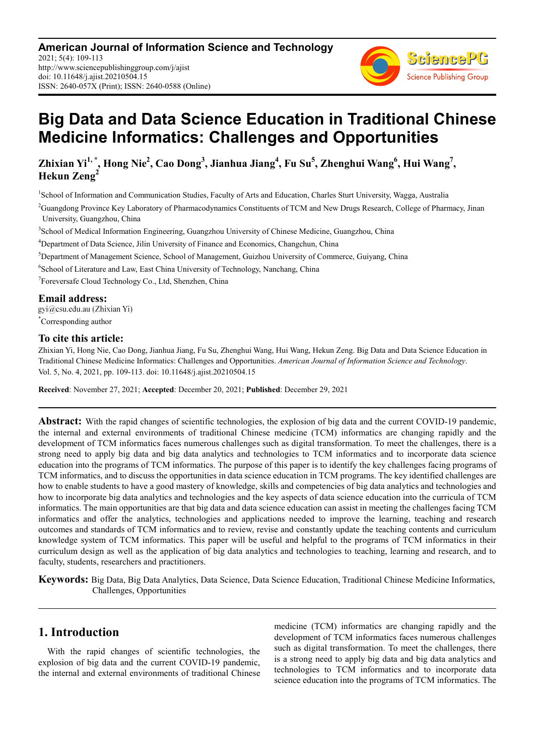**American Journal of Information Science and Technology** 2021; 5(4): 109-113 http://www.sciencepublishinggroup.com/j/ajist doi: 10.11648/j.ajist.20210504.15 ISSN: 2640-057X (Print); ISSN: 2640-0588 (Online)



# **Big Data and Data Science Education in Traditional Chinese Medicine Informatics: Challenges and Opportunities**

**Zhixian Yi1, \*, Hong Nie<sup>2</sup> , Cao Dong<sup>3</sup> , Jianhua Jiang<sup>4</sup> , Fu Su<sup>5</sup> , Zhenghui Wang<sup>6</sup> , Hui Wang<sup>7</sup> , Hekun Zeng<sup>2</sup>**

<sup>1</sup>School of Information and Communication Studies, Faculty of Arts and Education, Charles Sturt University, Wagga, Australia

<sup>2</sup>Guangdong Province Key Laboratory of Pharmacodynamics Constituents of TCM and New Drugs Research, College of Pharmacy, Jinan University, Guangzhou, China

3 School of Medical Information Engineering, Guangzhou University of Chinese Medicine, Guangzhou, China

<sup>4</sup>Department of Data Science, Jilin University of Finance and Economics, Changchun, China

<sup>5</sup>Department of Management Science, School of Management, Guizhou University of Commerce, Guiyang, China

6 School of Literature and Law, East China University of Technology, Nanchang, China

7 Foreversafe Cloud Technology Co., Ltd, Shenzhen, China

**Email address:**<br>gyi@csu.edu.au (Zhixian Yi) \*Corresponding author

#### **To cite this article:**

Zhixian Yi, Hong Nie, Cao Dong, Jianhua Jiang, Fu Su, Zhenghui Wang, Hui Wang, Hekun Zeng. Big Data and Data Science Education in Traditional Chinese Medicine Informatics: Challenges and Opportunities. *American Journal of Information Science and Technology*. Vol. 5, No. 4, 2021, pp. 109-113. doi: 10.11648/j.ajist.20210504.15

**Received**: November 27, 2021; **Accepted**: December 20, 2021; **Published**: December 29, 2021

**Abstract:** With the rapid changes of scientific technologies, the explosion of big data and the current COVID-19 pandemic, the internal and external environments of traditional Chinese medicine (TCM) informatics are changing rapidly and the development of TCM informatics faces numerous challenges such as digital transformation. To meet the challenges, there is a strong need to apply big data and big data analytics and technologies to TCM informatics and to incorporate data science education into the programs of TCM informatics. The purpose of this paper is to identify the key challenges facing programs of TCM informatics, and to discuss the opportunities in data science education in TCM programs. The key identified challenges are how to enable students to have a good mastery of knowledge, skills and competencies of big data analytics and technologies and how to incorporate big data analytics and technologies and the key aspects of data science education into the curricula of TCM informatics. The main opportunities are that big data and data science education can assist in meeting the challenges facing TCM informatics and offer the analytics, technologies and applications needed to improve the learning, teaching and research outcomes and standards of TCM informatics and to review, revise and constantly update the teaching contents and curriculum knowledge system of TCM informatics. This paper will be useful and helpful to the programs of TCM informatics in their curriculum design as well as the application of big data analytics and technologies to teaching, learning and research, and to faculty, students, researchers and practitioners.

**Keywords:** Big Data, Big Data Analytics, Data Science, Data Science Education, Traditional Chinese Medicine Informatics, Challenges, Opportunities

#### **1. Introduction**

With the rapid changes of scientific technologies, the explosion of big data and the current COVID-19 pandemic, the internal and external environments of traditional Chinese medicine (TCM) informatics are changing rapidly and the development of TCM informatics faces numerous challenges such as digital transformation. To meet the challenges, there is a strong need to apply big data and big data analytics and technologies to TCM informatics and to incorporate data science education into the programs of TCM informatics. The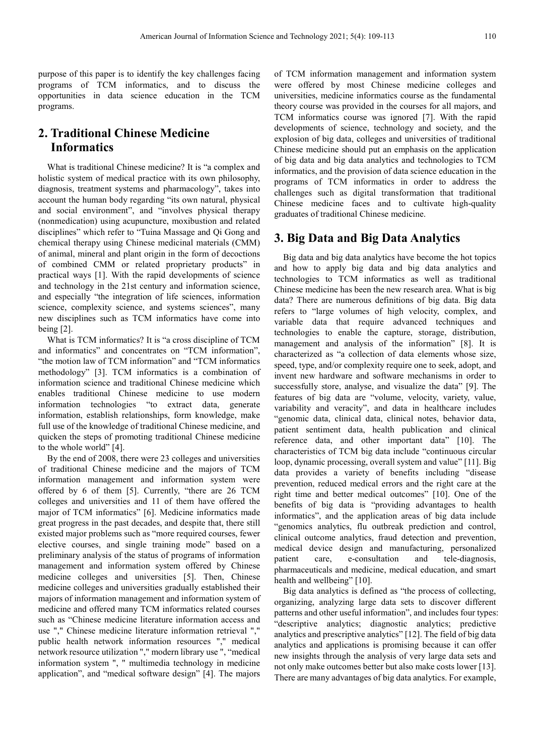purpose of this paper is to identify the key challenges facing programs of TCM informatics, and to discuss the opportunities in data science education in the TCM programs.

# **2. Traditional Chinese Medicine Informatics**

What is traditional Chinese medicine? It is "a complex and holistic system of medical practice with its own philosophy, diagnosis, treatment systems and pharmacology", takes into account the human body regarding "its own natural, physical and social environment", and "involves physical therapy (nonmedication) using acupuncture, moxibustion and related disciplines" which refer to "Tuina Massage and Qi Gong and chemical therapy using Chinese medicinal materials (CMM) of animal, mineral and plant origin in the form of decoctions of combined CMM or related proprietary products" in practical ways [1]. With the rapid developments of science and technology in the 21st century and information science, and especially "the integration of life sciences, information science, complexity science, and systems sciences", many new disciplines such as TCM informatics have come into being [2].

What is TCM informatics? It is "a cross discipline of TCM and informatics" and concentrates on "TCM information", "the motion law of TCM information" and "TCM informatics methodology" [3]. TCM informatics is a combination of information science and traditional Chinese medicine which enables traditional Chinese medicine to use modern information technologies "to extract data, generate information, establish relationships, form knowledge, make full use of the knowledge of traditional Chinese medicine, and quicken the steps of promoting traditional Chinese medicine to the whole world" [4].

By the end of 2008, there were 23 colleges and universities of traditional Chinese medicine and the majors of TCM information management and information system were offered by 6 of them [5]. Currently, "there are 26 TCM colleges and universities and 11 of them have offered the major of TCM informatics" [6]. Medicine informatics made great progress in the past decades, and despite that, there still existed major problems such as "more required courses, fewer elective courses, and single training mode" based on a preliminary analysis of the status of programs of information management and information system offered by Chinese medicine colleges and universities [5]. Then, Chinese medicine colleges and universities gradually established their majors of information management and information system of medicine and offered many TCM informatics related courses such as "Chinese medicine literature information access and use "," Chinese medicine literature information retrieval "," public health network information resources "," medical network resource utilization "," modern library use ", "medical information system ", " multimedia technology in medicine application", and "medical software design" [4]. The majors

of TCM information management and information system were offered by most Chinese medicine colleges and universities, medicine informatics course as the fundamental theory course was provided in the courses for all majors, and TCM informatics course was ignored [7]. With the rapid developments of science, technology and society, and the explosion of big data, colleges and universities of traditional Chinese medicine should put an emphasis on the application of big data and big data analytics and technologies to TCM informatics, and the provision of data science education in the programs of TCM informatics in order to address the challenges such as digital transformation that traditional Chinese medicine faces and to cultivate high-quality graduates of traditional Chinese medicine.

### **3. Big Data and Big Data Analytics**

Big data and big data analytics have become the hot topics and how to apply big data and big data analytics and technologies to TCM informatics as well as traditional Chinese medicine has been the new research area. What is big data? There are numerous definitions of big data. Big data refers to "large volumes of high velocity, complex, and variable data that require advanced techniques and technologies to enable the capture, storage, distribution, management and analysis of the information" [8]. It is characterized as "a collection of data elements whose size, speed, type, and/or complexity require one to seek, adopt, and invent new hardware and software mechanisms in order to successfully store, analyse, and visualize the data" [9]. The features of big data are "volume, velocity, variety, value, variability and veracity", and data in healthcare includes "genomic data, clinical data, clinical notes, behavior data, patient sentiment data, health publication and clinical reference data, and other important data" [10]. The characteristics of TCM big data include "continuous circular loop, dynamic processing, overall system and value" [11]. Big data provides a variety of benefits including "disease prevention, reduced medical errors and the right care at the right time and better medical outcomes" [10]. One of the benefits of big data is "providing advantages to health informatics", and the application areas of big data include "genomics analytics, flu outbreak prediction and control, clinical outcome analytics, fraud detection and prevention, medical device design and manufacturing, personalized patient care, e-consultation and tele-diagnosis, pharmaceuticals and medicine, medical education, and smart health and wellbeing" [10].

Big data analytics is defined as "the process of collecting, organizing, analyzing large data sets to discover different patterns and other useful information", and includes four types: "descriptive analytics; diagnostic analytics; predictive analytics and prescriptive analytics" [12]. The field of big data analytics and applications is promising because it can offer new insights through the analysis of very large data sets and not only make outcomes better but also make costs lower [13]. There are many advantages of big data analytics. For example,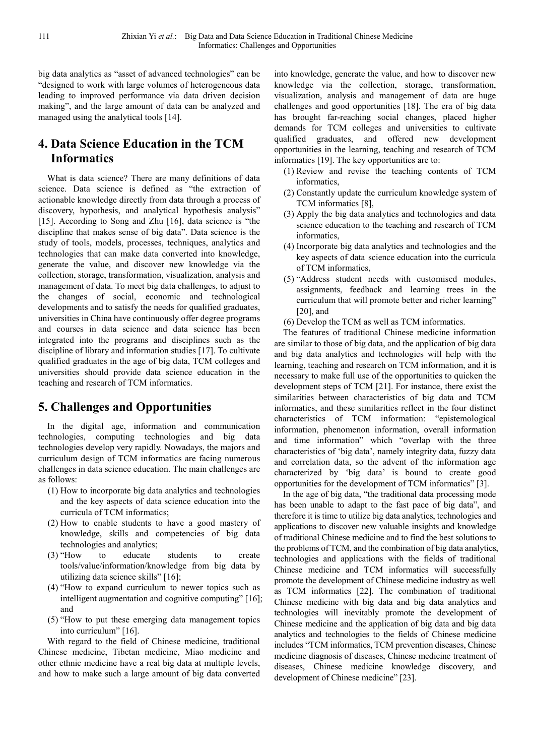big data analytics as "asset of advanced technologies" can be "designed to work with large volumes of heterogeneous data leading to improved performance via data driven decision making", and the large amount of data can be analyzed and managed using the analytical tools [14].

# **4. Data Science Education in the TCM Informatics**

What is data science? There are many definitions of data science. Data science is defined as "the extraction of actionable knowledge directly from data through a process of discovery, hypothesis, and analytical hypothesis analysis" [15]. According to Song and Zhu [16], data science is "the discipline that makes sense of big data". Data science is the study of tools, models, processes, techniques, analytics and technologies that can make data converted into knowledge, generate the value, and discover new knowledge via the collection, storage, transformation, visualization, analysis and management of data. To meet big data challenges, to adjust to the changes of social, economic and technological developments and to satisfy the needs for qualified graduates, universities in China have continuously offer degree programs and courses in data science and data science has been integrated into the programs and disciplines such as the discipline of library and information studies [17]. To cultivate qualified graduates in the age of big data, TCM colleges and universities should provide data science education in the teaching and research of TCM informatics.

# **5. Challenges and Opportunities**

In the digital age, information and communication technologies, computing technologies and big data technologies develop very rapidly. Nowadays, the majors and curriculum design of TCM informatics are facing numerous challenges in data science education. The main challenges are as follows:

- (1) How to incorporate big data analytics and technologies and the key aspects of data science education into the curricula of TCM informatics;
- (2) How to enable students to have a good mastery of knowledge, skills and competencies of big data technologies and analytics;
- (3) "How to educate students to create tools/value/information/knowledge from big data by utilizing data science skills" [16];
- (4) "How to expand curriculum to newer topics such as intelligent augmentation and cognitive computing" [16]; and
- (5) "How to put these emerging data management topics into curriculum" [16].

With regard to the field of Chinese medicine, traditional Chinese medicine, Tibetan medicine, Miao medicine and other ethnic medicine have a real big data at multiple levels, and how to make such a large amount of big data converted into knowledge, generate the value, and how to discover new knowledge via the collection, storage, transformation, visualization, analysis and management of data are huge challenges and good opportunities [18]. The era of big data has brought far-reaching social changes, placed higher demands for TCM colleges and universities to cultivate qualified graduates, and offered new development opportunities in the learning, teaching and research of TCM informatics [19]. The key opportunities are to:

- (1) Review and revise the teaching contents of TCM informatics,
- (2) Constantly update the curriculum knowledge system of TCM informatics [8],
- (3) Apply the big data analytics and technologies and data science education to the teaching and research of TCM informatics,
- (4) Incorporate big data analytics and technologies and the key aspects of data science education into the curricula of TCM informatics,
- (5) "Address student needs with customised modules, assignments, feedback and learning trees in the curriculum that will promote better and richer learning" [20], and
- (6) Develop the TCM as well as TCM informatics.

The features of traditional Chinese medicine information are similar to those of big data, and the application of big data and big data analytics and technologies will help with the learning, teaching and research on TCM information, and it is necessary to make full use of the opportunities to quicken the development steps of TCM [21]. For instance, there exist the similarities between characteristics of big data and TCM informatics, and these similarities reflect in the four distinct characteristics of TCM information: "epistemological information, phenomenon information, overall information and time information" which "overlap with the three characteristics of 'big data', namely integrity data, fuzzy data and correlation data, so the advent of the information age characterized by 'big data' is bound to create good opportunities for the development of TCM informatics" [3].

In the age of big data, "the traditional data processing mode has been unable to adapt to the fast pace of big data", and therefore it is time to utilize big data analytics, technologies and applications to discover new valuable insights and knowledge of traditional Chinese medicine and to find the best solutions to the problems of TCM, and the combination of big data analytics, technologies and applications with the fields of traditional Chinese medicine and TCM informatics will successfully promote the development of Chinese medicine industry as well as TCM informatics [22]. The combination of traditional Chinese medicine with big data and big data analytics and technologies will inevitably promote the development of Chinese medicine and the application of big data and big data analytics and technologies to the fields of Chinese medicine includes "TCM informatics, TCM prevention diseases, Chinese medicine diagnosis of diseases, Chinese medicine treatment of diseases, Chinese medicine knowledge discovery, and development of Chinese medicine" [23].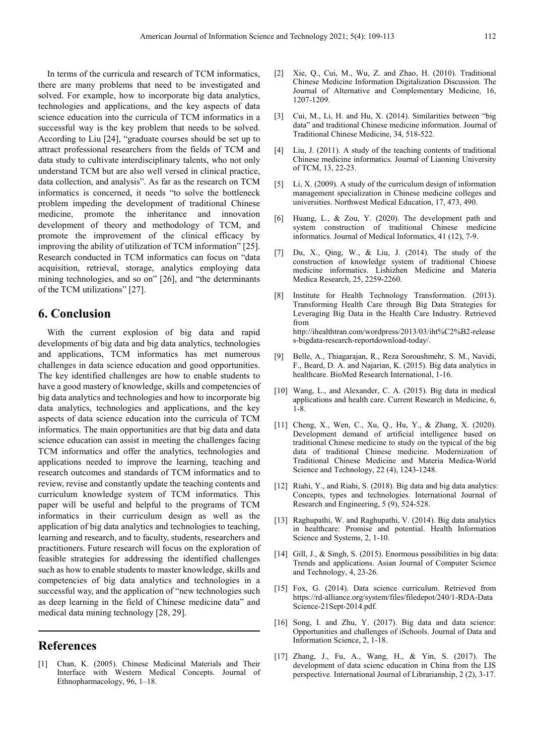In terms of the curricula and research of TCM informatics, there are many problems that need to be investigated and solved. For example, how to incorporate big data analytics, technologies and applications, and the key aspects of data science education into the curricula of TCM informatics in a successful way is the key problem that needs to be solved. According to Liu [24], "graduate courses should be set up to attract professional researchers from the fields of TCM and data study to cultivate interdisciplinary talents, who not only understand TCM but are also well versed in clinical practice, data collection, and analysis". As far as the research on TCM informatics is concerned, it needs "to solve the bottleneck problem impeding the development of traditional Chinese medicine, promote the inheritance and innovation development of theory and methodology of TCM, and promote the improvement of the clinical efficacy by improving the ability of utilization of TCM information" [25]. Research conducted in TCM informatics can focus on "data acquisition, retrieval, storage, analytics employing data mining technologies, and so on" [26], and "the determinants of the TCM utilizations" [27].

## **6. Conclusion**

With the current explosion of big data and rapid developments of big data and big data analytics, technologies and applications, TCM informatics has met numerous challenges in data science education and good opportunities. The key identified challenges are how to enable students to have a good mastery of knowledge, skills and competencies of big data analytics and technologies and how to incorporate big data analytics, technologies and applications, and the key aspects of data science education into the curricula of TCM informatics. The main opportunities are that big data and data science education can assist in meeting the challenges facing TCM informatics and offer the analytics, technologies and applications needed to improve the learning, teaching and research outcomes and standards of TCM informatics and to review, revise and constantly update the teaching contents and curriculum knowledge system of TCM informatics. This paper will be useful and helpful to the programs of TCM informatics in their curriculum design as well as the application of big data analytics and technologies to teaching, learning and research, and to faculty, students, researchers and practitioners. Future research will focus on the exploration of feasible strategies for addressing the identified challenges such as how to enable students to master knowledge, skills and competencies of big data analytics and technologies in a successful way, and the application of "new technologies such as deep learning in the field of Chinese medicine data" and medical data mining technology [28, 29].

#### **References**

[1] Chan, K. (2005). Chinese Medicinal Materials and Their Interface with Western Medical Concepts. Journal of Ethnopharmacology, 96, 1–18.

- [2] Xie, Q., Cui, M., Wu, Z. and Zhao, H. (2010). Traditional Chinese Medicine Information Digitalization Discussion. The Journal of Alternative and Complementary Medicine, 16, 1207-1209.
- [3] Cui, M., Li, H. and Hu, X. (2014). Similarities between "big data" and traditional Chinese medicine information. Journal of Traditional Chinese Medicine, 34, 518-522.
- [4] Liu, J. (2011). A study of the teaching contents of traditional Chinese medicine informatics. Journal of Liaoning University of TCM, 13, 22-23.
- [5] Li, X. (2009). A study of the curriculum design of information management specialization in Chinese medicine colleges and universities. Northwest Medical Education, 17, 473, 490.
- [6] Huang, L., & Zou, Y. (2020). The development path and system construction of traditional Chinese medicine informatics. Journal of Medical Informatics, 41 (12), 7-9.
- [7] Du, X., Qing, W., & Liu, J. (2014). The study of the construction of knowledge system of traditional Chinese medicine informatics. Lishizhen Medicine and Materia Medica Research, 25, 2259-2260.
- [8] Institute for Health Technology Transformation. (2013). Transforming Health Care through Big Data Strategies for Leveraging Big Data in the Health Care Industry. Retrieved from http://ihealthtran.com/wordpress/2013/03/iht%C2%B2-release s-bigdata-research-reportdownload-today/.
- [9] Belle, A., Thiagarajan, R., Reza Soroushmehr, S. M., Navidi, F., Beard, D. A. and Najarian, K. (2015). Big data analytics in healthcare. BioMed Research International, 1-16.
- [10] Wang, L., and Alexander, C. A. (2015). Big data in medical applications and health care. Current Research in Medicine, 6,  $1 - 8$ .
- [11] Cheng, X., Wen, C., Xu, Q., Hu, Y., & Zhang, X. (2020). Development demand of artificial intelligence based on traditional Chinese medicine to study on the typical of the big data of traditional Chinese medicine. Modernization of Traditional Chinese Medicine and Materia Medica-World Science and Technology, 22 (4), 1243-1248.
- [12] Riahi, Y., and Riahi, S. (2018). Big data and big data analytics: Concepts, types and technologies. International Journal of Research and Engineering, 5 (9), 524-528.
- [13] Raghupathi, W. and Raghupathi, V. (2014). Big data analytics in healthcare: Promise and potential. Health Information Science and Systems, 2, 1-10.
- [14] Gill, J., & Singh, S. (2015). Enormous possibilities in big data: Trends and applications. Asian Journal of Computer Science and Technology, 4, 23-26.
- [15] Fox, G. (2014). Data science curriculum. Retrieved from https://rd-alliance.org/system/files/filedepot/240/1-RDA-Data Science-21Sept-2014.pdf.
- [16] Song, I. and Zhu, Y. (2017). Big data and data science: Opportunities and challenges of iSchools. Journal of Data and Information Science, 2, 1-18.
- [17] Zhang, J., Fu, A., Wang, H., & Yin, S. (2017). The development of data scienc education in China from the LIS perspective. International Journal of Librarianship, 2 (2), 3-17.